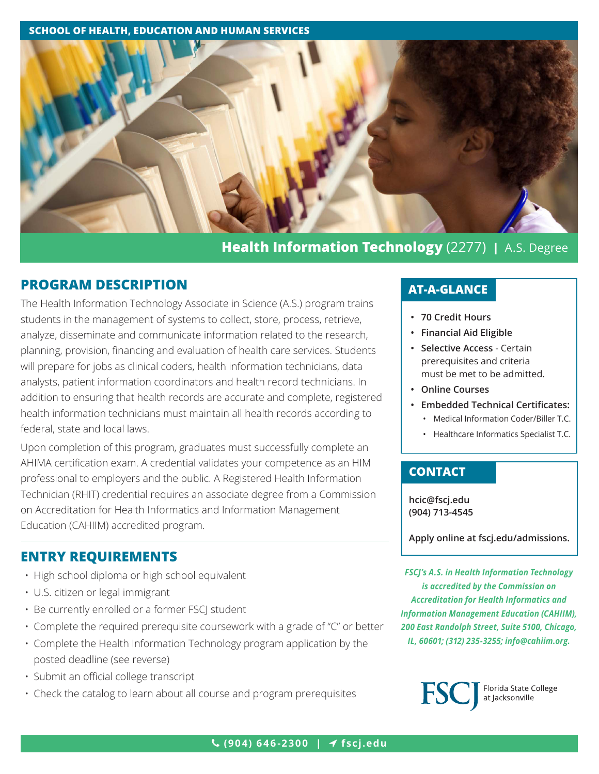### **SCHOOL OF HEALTH, EDUCATION AND HUMAN SERVICES**



# **Health Information Technology** (2277) **|** A.S. Degree

## **PROGRAM DESCRIPTION**

The Health Information Technology Associate in Science (A.S.) program trains students in the management of systems to collect, store, process, retrieve, analyze, disseminate and communicate information related to the research, planning, provision, financing and evaluation of health care services. Students will prepare for jobs as clinical coders, health information technicians, data analysts, patient information coordinators and health record technicians. In addition to ensuring that health records are accurate and complete, registered health information technicians must maintain all health records according to federal, state and local laws.

Upon completion of this program, graduates must successfully complete an AHIMA certification exam. A credential validates your competence as an HIM professional to employers and the public. A Registered Health Information Technician (RHIT) credential requires an associate degree from a Commission on Accreditation for Health Informatics and Information Management Education (CAHIIM) accredited program.

## **ENTRY REQUIREMENTS**

- High school diploma or high school equivalent
- U.S. citizen or legal immigrant
- Be currently enrolled or a former FSCJ student
- Complete the required prerequisite coursework with a grade of "C" or better
- Complete the Health Information Technology program application by the posted deadline (see reverse)
- Submit an official college transcript
- Check the catalog to learn about all course and program prerequisites

## **AT-A-GLANCE**

- **• 70 Credit Hours**
- **• Financial Aid Eligible**
- **• Selective Access**  Certain prerequisites and criteria must be met to be admitted.
- **• Online Courses**
- **• Embedded Technical Certificates:**
	- Medical Information Coder/Biller T.C.
	- Healthcare Informatics Specialist T.C.

## **CONTACT**

**[hcic@fscj.edu](mailto:hcic%40fscj.edu?subject=) (904) 713-4545**

**Apply online at fscj.edu/admissions.**

*FSCJ's A.S. in Health Information Technology is accredited by the Commission on Accreditation for Health Informatics and Information Management Education (CAHIIM), 200 East Randolph Street, Suite 5100, Chicago, IL, 60601; (312) 235-3255; info@cahiim.org.*